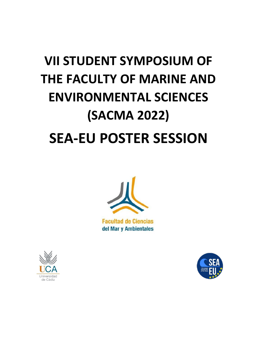# **VII STUDENT SYMPOSIUM OF THE FACULTY OF MARINE AND ENVIRONMENTAL SCIENCES (SACMA 2022) SEA-EU POSTER SESSION**



**Facultad de Ciencias** del Mar y Ambientales



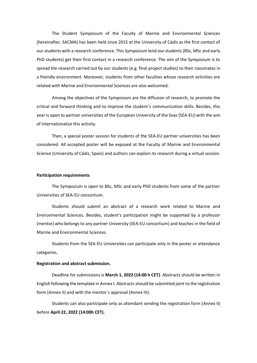The Student Symposium of the Faculty of Marine and Environmental Sciences (hereinafter, SACMA) has been held since 2015 at the University of Cádiz as the first contact of our students with a research conference. This Symposium lend our students (BSc, MSc and early PhD students) get their first contact in a research conference. The aim of the Symposium is to spread the research carried out by our students (e.g. final project studies) to their classmates in a friendly environment. Moreover, students from other faculties whose research activities are related with Marine and Environmental Sciences are also welcomed.

Among the objectives of the Symposium are the diffusion of research, to promote the critical and forward thinking and to improve the student´s communication skills. Besides, this year is open to partner universities of the European University of the Seas (SEA-EU) with the aim of internationalize this activity.

Then, a special poster session for students of the SEA-EU partner universities has been considered. All accepted poster will be exposed at the Faculty of Marine and Environmental Science (University of Cádiz, Spain) and authors can explain its research during a virtual session.

#### **Participation requirements**

The Symposium is open to BSc, MSc and early PhD students from some of the partner Universities of SEA-EU consortium.

Students should submit an abstract of a research work related to Marine and Environmental Sciences. Besides, student's participation might be supported by a professor (mentor) who belongs to any partner University (SEA-EU consortium) and teaches in the field of Marine and Environmental Sciences.

Students from the SEA-EU Universities can participate only in the poster or attendance categories.

#### **Registration and abstract submission.**

Deadline for submissions is **March 1, 2022 (14:00 h CET)**. Abstracts should be written in English following the template in Annex I. Abstracts should be submitted joint to the registration form (Annex II) and with the mentor´s approval (Annex III).

Students can also participate only as attendant sending the registration form (Annex II) before **April 22, 2022 (14:00h CET).**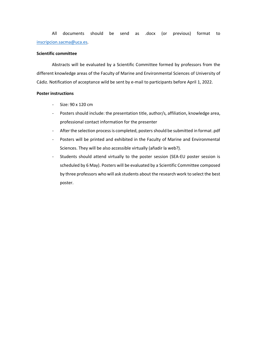All documents should be send as .docx (or previous) format to [inscripcion.sacma@uca.es.](mailto:inscripcion.sacma@uca.es)

#### **Scientific committee**

Abstracts will be evaluated by a Scientific Committee formed by professors from the different knowledge areas of the Faculty of Marine and Environmental Sciences of University of Cádiz. Notification of acceptance wild be sent by e-mail to participants before April 1, 2022.

#### **Poster instructions**

- Size: 90 x 120 cm
- Posters should include: the presentation title, author/s, affiliation, knowledge area, professional contact information for the presenter
- After the selection process is completed, posters should be submitted in format .pdf
- Posters will be printed and exhibited in the Faculty of Marine and Environmental Sciences. They will be also accessible virtually (añadir la web?).
- Students should attend virtually to the poster session (SEA-EU poster session is scheduled by 6 May). Posters will be evaluated by a Scientific Committee composed by three professors who will ask students about the research work to select the best poster.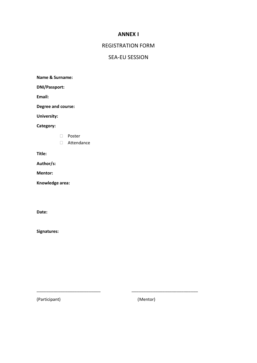# **ANNEX I**

### REGISTRATION FORM

# SEA-EU SESSION

**Name & Surname:**

**DNI/Passport:**

**Email:**

**Degree and course:**

**University:**

**Category:**

- D Poster
- Attendance

**Title:**

**Author/s:** 

**Mentor:**

**Knowledge area:**

**Date:** 

**Signatures:**

(Participant) (Mentor)

\_\_\_\_\_\_\_\_\_\_\_\_\_\_\_\_\_\_\_\_\_\_\_\_\_\_\_ \_\_\_\_\_\_\_\_\_\_\_\_\_\_\_\_\_\_\_\_\_\_\_\_\_\_\_\_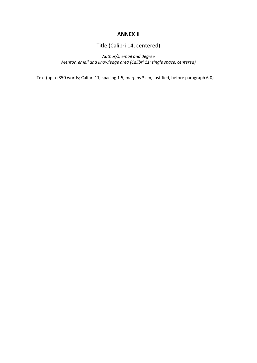#### **ANNEX II**

Title (Calibri 14, centered)

*Author/s, email and degree Mentor, email and knowledge area (Calibri 11; single space, centered)*

Text (up to 350 words; Calibri 11; spacing 1.5, margins 3 cm, justified, before paragraph 6.0)